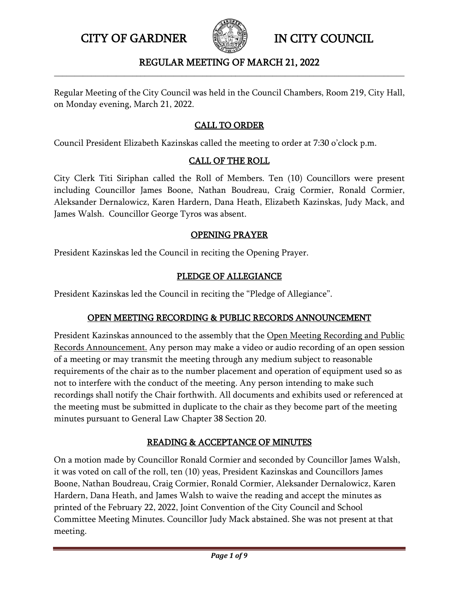

#### REGULAR MEETING OF MARCH 21, 2022 **\_\_\_\_\_\_\_\_\_\_\_\_\_\_\_\_\_\_\_\_\_\_\_\_\_\_\_\_\_\_\_\_\_\_\_\_\_\_\_\_\_\_\_\_\_\_\_\_\_\_\_\_\_\_\_\_\_\_\_\_\_\_\_\_\_\_\_\_\_\_\_\_\_\_\_\_\_\_\_\_\_\_\_\_\_**

Regular Meeting of the City Council was held in the Council Chambers, Room 219, City Hall, on Monday evening, March 21, 2022.

# CALL TO ORDER

Council President Elizabeth Kazinskas called the meeting to order at 7:30 o'clock p.m.

## CALL OF THE ROLL

City Clerk Titi Siriphan called the Roll of Members. Ten (10) Councillors were present including Councillor James Boone, Nathan Boudreau, Craig Cormier, Ronald Cormier, Aleksander Dernalowicz, Karen Hardern, Dana Heath, Elizabeth Kazinskas, Judy Mack, and James Walsh. Councillor George Tyros was absent.

## OPENING PRAYER

President Kazinskas led the Council in reciting the Opening Prayer.

## PLEDGE OF ALLEGIANCE

President Kazinskas led the Council in reciting the "Pledge of Allegiance".

# OPEN MEETING RECORDING & PUBLIC RECORDS ANNOUNCEMENT

President Kazinskas announced to the assembly that the Open Meeting Recording and Public Records Announcement. Any person may make a video or audio recording of an open session of a meeting or may transmit the meeting through any medium subject to reasonable requirements of the chair as to the number placement and operation of equipment used so as not to interfere with the conduct of the meeting. Any person intending to make such recordings shall notify the Chair forthwith. All documents and exhibits used or referenced at the meeting must be submitted in duplicate to the chair as they become part of the meeting minutes pursuant to General Law Chapter 38 Section 20.

# READING & ACCEPTANCE OF MINUTES

On a motion made by Councillor Ronald Cormier and seconded by Councillor James Walsh, it was voted on call of the roll, ten (10) yeas, President Kazinskas and Councillors James Boone, Nathan Boudreau, Craig Cormier, Ronald Cormier, Aleksander Dernalowicz, Karen Hardern, Dana Heath, and James Walsh to waive the reading and accept the minutes as printed of the February 22, 2022, Joint Convention of the City Council and School Committee Meeting Minutes. Councillor Judy Mack abstained. She was not present at that meeting.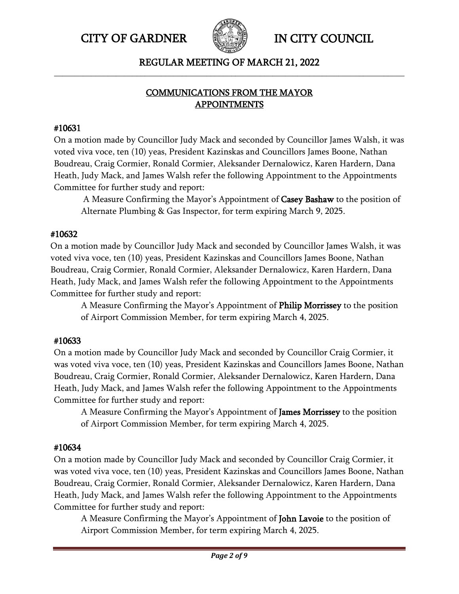

## REGULAR MEETING OF MARCH 21, 2022 **\_\_\_\_\_\_\_\_\_\_\_\_\_\_\_\_\_\_\_\_\_\_\_\_\_\_\_\_\_\_\_\_\_\_\_\_\_\_\_\_\_\_\_\_\_\_\_\_\_\_\_\_\_\_\_\_\_\_\_\_\_\_\_\_\_\_\_\_\_\_\_\_\_\_\_\_\_\_\_\_\_\_\_\_\_**

# COMMUNICATIONS FROM THE MAYOR APPOINTMENTS

## #10631

On a motion made by Councillor Judy Mack and seconded by Councillor James Walsh, it was voted viva voce, ten (10) yeas, President Kazinskas and Councillors James Boone, Nathan Boudreau, Craig Cormier, Ronald Cormier, Aleksander Dernalowicz, Karen Hardern, Dana Heath, Judy Mack, and James Walsh refer the following Appointment to the Appointments Committee for further study and report:

A Measure Confirming the Mayor's Appointment of Casey Bashaw to the position of Alternate Plumbing & Gas Inspector, for term expiring March 9, 2025.

## #10632

On a motion made by Councillor Judy Mack and seconded by Councillor James Walsh, it was voted viva voce, ten (10) yeas, President Kazinskas and Councillors James Boone, Nathan Boudreau, Craig Cormier, Ronald Cormier, Aleksander Dernalowicz, Karen Hardern, Dana Heath, Judy Mack, and James Walsh refer the following Appointment to the Appointments Committee for further study and report:

A Measure Confirming the Mayor's Appointment of Philip Morrissey to the position of Airport Commission Member, for term expiring March 4, 2025.

# #10633

On a motion made by Councillor Judy Mack and seconded by Councillor Craig Cormier, it was voted viva voce, ten (10) yeas, President Kazinskas and Councillors James Boone, Nathan Boudreau, Craig Cormier, Ronald Cormier, Aleksander Dernalowicz, Karen Hardern, Dana Heath, Judy Mack, and James Walsh refer the following Appointment to the Appointments Committee for further study and report:

A Measure Confirming the Mayor's Appointment of James Morrissey to the position of Airport Commission Member, for term expiring March 4, 2025.

# #10634

On a motion made by Councillor Judy Mack and seconded by Councillor Craig Cormier, it was voted viva voce, ten (10) yeas, President Kazinskas and Councillors James Boone, Nathan Boudreau, Craig Cormier, Ronald Cormier, Aleksander Dernalowicz, Karen Hardern, Dana Heath, Judy Mack, and James Walsh refer the following Appointment to the Appointments Committee for further study and report:

A Measure Confirming the Mayor's Appointment of John Lavoie to the position of Airport Commission Member, for term expiring March 4, 2025.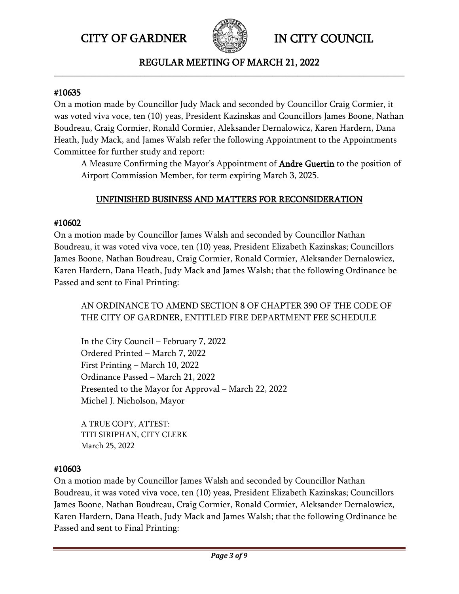

#### REGULAR MEETING OF MARCH 21, 2022 **\_\_\_\_\_\_\_\_\_\_\_\_\_\_\_\_\_\_\_\_\_\_\_\_\_\_\_\_\_\_\_\_\_\_\_\_\_\_\_\_\_\_\_\_\_\_\_\_\_\_\_\_\_\_\_\_\_\_\_\_\_\_\_\_\_\_\_\_\_\_\_\_\_\_\_\_\_\_\_\_\_\_\_\_\_**

#### #10635

On a motion made by Councillor Judy Mack and seconded by Councillor Craig Cormier, it was voted viva voce, ten (10) yeas, President Kazinskas and Councillors James Boone, Nathan Boudreau, Craig Cormier, Ronald Cormier, Aleksander Dernalowicz, Karen Hardern, Dana Heath, Judy Mack, and James Walsh refer the following Appointment to the Appointments Committee for further study and report:

A Measure Confirming the Mayor's Appointment of **Andre Guertin** to the position of Airport Commission Member, for term expiring March 3, 2025.

# UNFINISHED BUSINESS AND MATTERS FOR RECONSIDERATION

## #10602

On a motion made by Councillor James Walsh and seconded by Councillor Nathan Boudreau, it was voted viva voce, ten (10) yeas, President Elizabeth Kazinskas; Councillors James Boone, Nathan Boudreau, Craig Cormier, Ronald Cormier, Aleksander Dernalowicz, Karen Hardern, Dana Heath, Judy Mack and James Walsh; that the following Ordinance be Passed and sent to Final Printing:

AN ORDINANCE TO AMEND SECTION 8 OF CHAPTER 390 OF THE CODE OF THE CITY OF GARDNER, ENTITLED FIRE DEPARTMENT FEE SCHEDULE

In the City Council – February 7, 2022 Ordered Printed – March 7, 2022 First Printing – March 10, 2022 Ordinance Passed – March 21, 2022 Presented to the Mayor for Approval – March 22, 2022 Michel J. Nicholson, Mayor

A TRUE COPY, ATTEST: TITI SIRIPHAN, CITY CLERK March 25, 2022

## #10603

On a motion made by Councillor James Walsh and seconded by Councillor Nathan Boudreau, it was voted viva voce, ten (10) yeas, President Elizabeth Kazinskas; Councillors James Boone, Nathan Boudreau, Craig Cormier, Ronald Cormier, Aleksander Dernalowicz, Karen Hardern, Dana Heath, Judy Mack and James Walsh; that the following Ordinance be Passed and sent to Final Printing: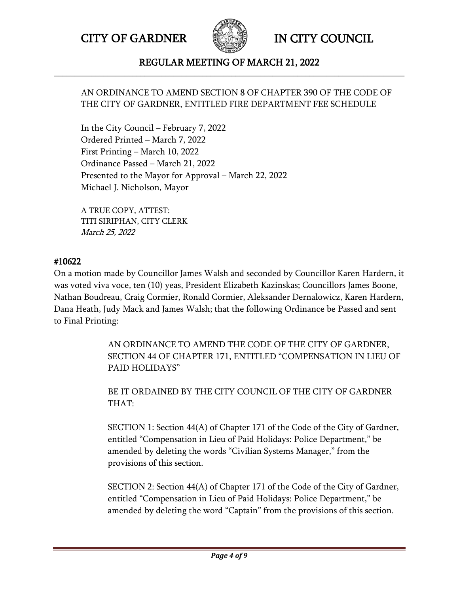

#### REGULAR MEETING OF MARCH 21, 2022 **\_\_\_\_\_\_\_\_\_\_\_\_\_\_\_\_\_\_\_\_\_\_\_\_\_\_\_\_\_\_\_\_\_\_\_\_\_\_\_\_\_\_\_\_\_\_\_\_\_\_\_\_\_\_\_\_\_\_\_\_\_\_\_\_\_\_\_\_\_\_\_\_\_\_\_\_\_\_\_\_\_\_\_\_\_**

## AN ORDINANCE TO AMEND SECTION 8 OF CHAPTER 390 OF THE CODE OF THE CITY OF GARDNER, ENTITLED FIRE DEPARTMENT FEE SCHEDULE

In the City Council – February 7, 2022 Ordered Printed – March 7, 2022 First Printing – March 10, 2022 Ordinance Passed – March 21, 2022 Presented to the Mayor for Approval – March 22, 2022 Michael J. Nicholson, Mayor

A TRUE COPY, ATTEST: TITI SIRIPHAN, CITY CLERK March 25, 2022

## #10622

On a motion made by Councillor James Walsh and seconded by Councillor Karen Hardern, it was voted viva voce, ten (10) yeas, President Elizabeth Kazinskas; Councillors James Boone, Nathan Boudreau, Craig Cormier, Ronald Cormier, Aleksander Dernalowicz, Karen Hardern, Dana Heath, Judy Mack and James Walsh; that the following Ordinance be Passed and sent to Final Printing:

> AN ORDINANCE TO AMEND THE CODE OF THE CITY OF GARDNER, SECTION 44 OF CHAPTER 171, ENTITLED "COMPENSATION IN LIEU OF PAID HOLIDAYS"

BE IT ORDAINED BY THE CITY COUNCIL OF THE CITY OF GARDNER THAT:

SECTION 1: Section 44(A) of Chapter 171 of the Code of the City of Gardner, entitled "Compensation in Lieu of Paid Holidays: Police Department," be amended by deleting the words "Civilian Systems Manager," from the provisions of this section.

SECTION 2: Section 44(A) of Chapter 171 of the Code of the City of Gardner, entitled "Compensation in Lieu of Paid Holidays: Police Department," be amended by deleting the word "Captain" from the provisions of this section.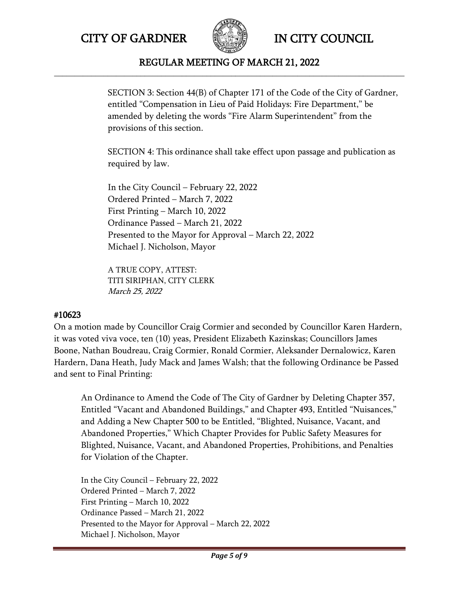

#### REGULAR MEETING OF MARCH 21, 2022 **\_\_\_\_\_\_\_\_\_\_\_\_\_\_\_\_\_\_\_\_\_\_\_\_\_\_\_\_\_\_\_\_\_\_\_\_\_\_\_\_\_\_\_\_\_\_\_\_\_\_\_\_\_\_\_\_\_\_\_\_\_\_\_\_\_\_\_\_\_\_\_\_\_\_\_\_\_\_\_\_\_\_\_\_\_**

SECTION 3: Section 44(B) of Chapter 171 of the Code of the City of Gardner, entitled "Compensation in Lieu of Paid Holidays: Fire Department," be amended by deleting the words "Fire Alarm Superintendent" from the provisions of this section.

SECTION 4: This ordinance shall take effect upon passage and publication as required by law.

In the City Council – February 22, 2022 Ordered Printed – March 7, 2022 First Printing – March 10, 2022 Ordinance Passed – March 21, 2022 Presented to the Mayor for Approval – March 22, 2022 Michael J. Nicholson, Mayor

A TRUE COPY, ATTEST: TITI SIRIPHAN, CITY CLERK March 25, 2022

## #10623

On a motion made by Councillor Craig Cormier and seconded by Councillor Karen Hardern, it was voted viva voce, ten (10) yeas, President Elizabeth Kazinskas; Councillors James Boone, Nathan Boudreau, Craig Cormier, Ronald Cormier, Aleksander Dernalowicz, Karen Hardern, Dana Heath, Judy Mack and James Walsh; that the following Ordinance be Passed and sent to Final Printing:

An Ordinance to Amend the Code of The City of Gardner by Deleting Chapter 357, Entitled "Vacant and Abandoned Buildings," and Chapter 493, Entitled "Nuisances," and Adding a New Chapter 500 to be Entitled, "Blighted, Nuisance, Vacant, and Abandoned Properties," Which Chapter Provides for Public Safety Measures for Blighted, Nuisance, Vacant, and Abandoned Properties, Prohibitions, and Penalties for Violation of the Chapter.

In the City Council – February 22, 2022 Ordered Printed – March 7, 2022 First Printing – March 10, 2022 Ordinance Passed – March 21, 2022 Presented to the Mayor for Approval – March 22, 2022 Michael J. Nicholson, Mayor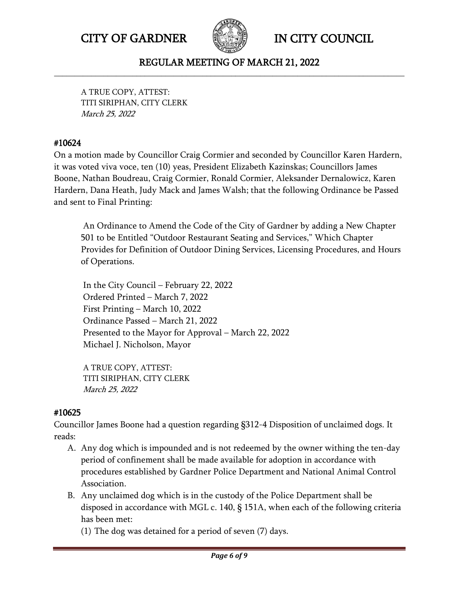

#### REGULAR MEETING OF MARCH 21, 2022 **\_\_\_\_\_\_\_\_\_\_\_\_\_\_\_\_\_\_\_\_\_\_\_\_\_\_\_\_\_\_\_\_\_\_\_\_\_\_\_\_\_\_\_\_\_\_\_\_\_\_\_\_\_\_\_\_\_\_\_\_\_\_\_\_\_\_\_\_\_\_\_\_\_\_\_\_\_\_\_\_\_\_\_\_\_**

A TRUE COPY, ATTEST: TITI SIRIPHAN, CITY CLERK March 25, 2022

## #10624

On a motion made by Councillor Craig Cormier and seconded by Councillor Karen Hardern, it was voted viva voce, ten (10) yeas, President Elizabeth Kazinskas; Councillors James Boone, Nathan Boudreau, Craig Cormier, Ronald Cormier, Aleksander Dernalowicz, Karen Hardern, Dana Heath, Judy Mack and James Walsh; that the following Ordinance be Passed and sent to Final Printing:

An Ordinance to Amend the Code of the City of Gardner by adding a New Chapter 501 to be Entitled "Outdoor Restaurant Seating and Services," Which Chapter Provides for Definition of Outdoor Dining Services, Licensing Procedures, and Hours of Operations.

In the City Council – February 22, 2022 Ordered Printed – March 7, 2022 First Printing – March 10, 2022 Ordinance Passed – March 21, 2022 Presented to the Mayor for Approval – March 22, 2022 Michael J. Nicholson, Mayor

A TRUE COPY, ATTEST: TITI SIRIPHAN, CITY CLERK March 25, 2022

## #10625

Councillor James Boone had a question regarding §312-4 Disposition of unclaimed dogs. It reads:

- A. Any dog which is impounded and is not redeemed by the owner withing the ten-day period of confinement shall be made available for adoption in accordance with procedures established by Gardner Police Department and National Animal Control Association.
- B. Any unclaimed dog which is in the custody of the Police Department shall be disposed in accordance with MGL c. 140, § 151A, when each of the following criteria has been met:

(1) The dog was detained for a period of seven (7) days.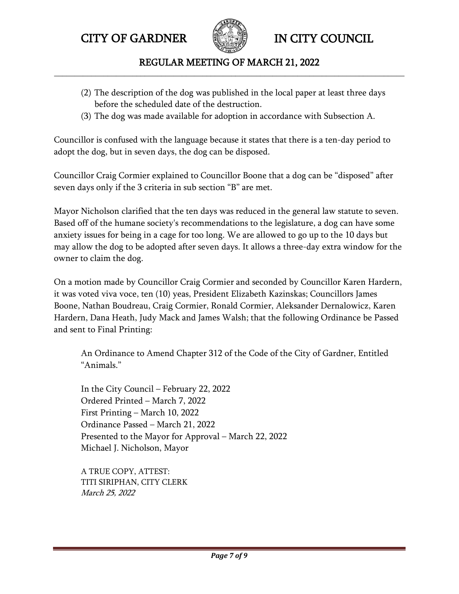

REGULAR MEETING OF MARCH 21, 2022 **\_\_\_\_\_\_\_\_\_\_\_\_\_\_\_\_\_\_\_\_\_\_\_\_\_\_\_\_\_\_\_\_\_\_\_\_\_\_\_\_\_\_\_\_\_\_\_\_\_\_\_\_\_\_\_\_\_\_\_\_\_\_\_\_\_\_\_\_\_\_\_\_\_\_\_\_\_\_\_\_\_\_\_\_\_**

- (2) The description of the dog was published in the local paper at least three days before the scheduled date of the destruction.
- (3) The dog was made available for adoption in accordance with Subsection A.

Councillor is confused with the language because it states that there is a ten-day period to adopt the dog, but in seven days, the dog can be disposed.

Councillor Craig Cormier explained to Councillor Boone that a dog can be "disposed" after seven days only if the 3 criteria in sub section "B" are met.

Mayor Nicholson clarified that the ten days was reduced in the general law statute to seven. Based off of the humane society's recommendations to the legislature, a dog can have some anxiety issues for being in a cage for too long. We are allowed to go up to the 10 days but may allow the dog to be adopted after seven days. It allows a three-day extra window for the owner to claim the dog.

On a motion made by Councillor Craig Cormier and seconded by Councillor Karen Hardern, it was voted viva voce, ten (10) yeas, President Elizabeth Kazinskas; Councillors James Boone, Nathan Boudreau, Craig Cormier, Ronald Cormier, Aleksander Dernalowicz, Karen Hardern, Dana Heath, Judy Mack and James Walsh; that the following Ordinance be Passed and sent to Final Printing:

An Ordinance to Amend Chapter 312 of the Code of the City of Gardner, Entitled "Animals."

In the City Council – February 22, 2022 Ordered Printed – March 7, 2022 First Printing – March 10, 2022 Ordinance Passed – March 21, 2022 Presented to the Mayor for Approval – March 22, 2022 Michael J. Nicholson, Mayor

A TRUE COPY, ATTEST: TITI SIRIPHAN, CITY CLERK March 25, 2022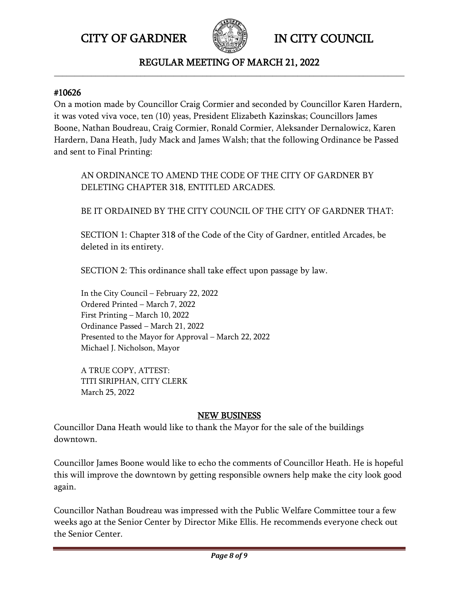

#### REGULAR MEETING OF MARCH 21, 2022 **\_\_\_\_\_\_\_\_\_\_\_\_\_\_\_\_\_\_\_\_\_\_\_\_\_\_\_\_\_\_\_\_\_\_\_\_\_\_\_\_\_\_\_\_\_\_\_\_\_\_\_\_\_\_\_\_\_\_\_\_\_\_\_\_\_\_\_\_\_\_\_\_\_\_\_\_\_\_\_\_\_\_\_\_\_**

#### #10626

On a motion made by Councillor Craig Cormier and seconded by Councillor Karen Hardern, it was voted viva voce, ten (10) yeas, President Elizabeth Kazinskas; Councillors James Boone, Nathan Boudreau, Craig Cormier, Ronald Cormier, Aleksander Dernalowicz, Karen Hardern, Dana Heath, Judy Mack and James Walsh; that the following Ordinance be Passed and sent to Final Printing:

AN ORDINANCE TO AMEND THE CODE OF THE CITY OF GARDNER BY DELETING CHAPTER 318, ENTITLED ARCADES.

BE IT ORDAINED BY THE CITY COUNCIL OF THE CITY OF GARDNER THAT:

SECTION 1: Chapter 318 of the Code of the City of Gardner, entitled Arcades, be deleted in its entirety.

SECTION 2: This ordinance shall take effect upon passage by law.

In the City Council – February 22, 2022 Ordered Printed – March 7, 2022 First Printing – March 10, 2022 Ordinance Passed – March 21, 2022 Presented to the Mayor for Approval – March 22, 2022 Michael J. Nicholson, Mayor

A TRUE COPY, ATTEST: TITI SIRIPHAN, CITY CLERK March 25, 2022

#### NEW BUSINESS

Councillor Dana Heath would like to thank the Mayor for the sale of the buildings downtown.

Councillor James Boone would like to echo the comments of Councillor Heath. He is hopeful this will improve the downtown by getting responsible owners help make the city look good again.

Councillor Nathan Boudreau was impressed with the Public Welfare Committee tour a few weeks ago at the Senior Center by Director Mike Ellis. He recommends everyone check out the Senior Center.